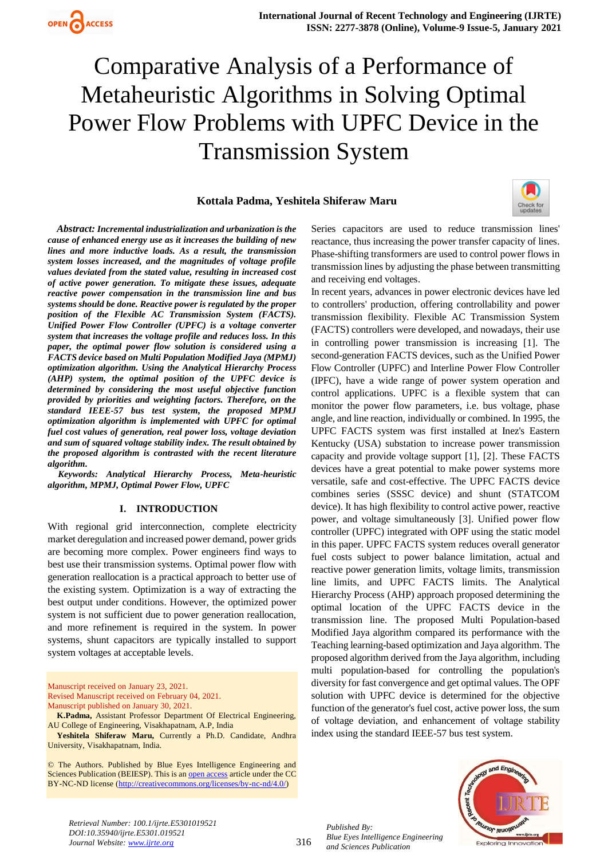# **Kottala Padma, Yeshitela Shiferaw Maru**



*Abstract: Incremental industrialization and urbanization is the cause of enhanced energy use as it increases the building of new lines and more inductive loads. As a result, the transmission system losses increased, and the magnitudes of voltage profile values deviated from the stated value, resulting in increased cost of active power generation. To mitigate these issues, adequate reactive power compensation in the transmission line and bus systems should be done. Reactive power is regulated by the proper position of the Flexible AC Transmission System (FACTS). Unified Power Flow Controller (UPFC) is a voltage converter system that increases the voltage profile and reduces loss. In this paper, the optimal power flow solution is considered using a FACTS device based on Multi Population Modified Jaya (MPMJ) optimization algorithm. Using the Analytical Hierarchy Process (AHP) system, the optimal position of the UPFC device is determined by considering the most useful objective function provided by priorities and weighting factors. Therefore, on the standard IEEE-57 bus test system, the proposed MPMJ optimization algorithm is implemented with UPFC for optimal fuel cost values of generation, real power loss, voltage deviation and sum of squared voltage stability index. The result obtained by the proposed algorithm is contrasted with the recent literature algorithm.* 

*Keywords: Analytical Hierarchy Process, Meta-heuristic algorithm, MPMJ, Optimal Power Flow, UPFC*

#### **I. INTRODUCTION**

With regional grid interconnection, complete electricity market deregulation and increased power demand, power grids are becoming more complex. Power engineers find ways to best use their transmission systems. Optimal power flow with generation reallocation is a practical approach to better use of the existing system. Optimization is a way of extracting the best output under conditions. However, the optimized power system is not sufficient due to power generation reallocation, and more refinement is required in the system. In power systems, shunt capacitors are typically installed to support system voltages at acceptable levels.

Manuscript received on January 23, 2021. Revised Manuscript received on February 04, 2021. Manuscript published on January 30, 2021.

**K.Padma,** Assistant Professor Department Of Electrical Engineering, AU College of Engineering, Visakhapatnam, A.P, India

**Yeshitela Shiferaw Maru,** Currently a Ph.D. Candidate, Andhra University, Visakhapatnam, India.

© The Authors. Published by Blue Eyes Intelligence Engineering and Sciences Publication (BEIESP). This is an [open access](https://www.openaccess.nl/en/open-publications) article under the CC BY-NC-ND license [\(http://creativecommons.org/licenses/by-nc-nd/4.0/\)](http://creativecommons.org/licenses/by-nc-nd/4.0/)

Series capacitors are used to reduce transmission lines' reactance, thus increasing the power transfer capacity of lines. Phase-shifting transformers are used to control power flows in transmission lines by adjusting the phase between transmitting and receiving end voltages.

In recent years, advances in power electronic devices have led to controllers' production, offering controllability and power transmission flexibility. Flexible AC Transmission System (FACTS) controllers were developed, and nowadays, their use in controlling power transmission is increasing [1]. The second-generation FACTS devices, such as the Unified Power Flow Controller (UPFC) and Interline Power Flow Controller (IPFC), have a wide range of power system operation and control applications. UPFC is a flexible system that can monitor the power flow parameters, i.e. bus voltage, phase angle, and line reaction, individually or combined. In 1995, the UPFC FACTS system was first installed at Inez's Eastern Kentucky (USA) substation to increase power transmission capacity and provide voltage support [1], [2]. These FACTS devices have a great potential to make power systems more versatile, safe and cost-effective. The UPFC FACTS device combines series (SSSC device) and shunt (STATCOM device). It has high flexibility to control active power, reactive power, and voltage simultaneously [3]. Unified power flow controller (UPFC) integrated with OPF using the static model in this paper. UPFC FACTS system reduces overall generator fuel costs subject to power balance limitation, actual and reactive power generation limits, voltage limits, transmission line limits, and UPFC FACTS limits. The Analytical Hierarchy Process (AHP) approach proposed determining the optimal location of the UPFC FACTS device in the transmission line. The proposed Multi Population-based Modified Jaya algorithm compared its performance with the Teaching learning-based optimization and Jaya algorithm. The proposed algorithm derived from the Jaya algorithm, including multi population-based for controlling the population's diversity for fast convergence and get optimal values. The OPF solution with UPFC device is determined for the objective function of the generator's fuel cost, active power loss, the sum of voltage deviation, and enhancement of voltage stability index using the standard IEEE-57 bus test system.



*Retrieval Number: 100.1/ijrte.E5301019521 DOI:10.35940/ijrte.E5301.019521 Journal Website: www.ijrte.org*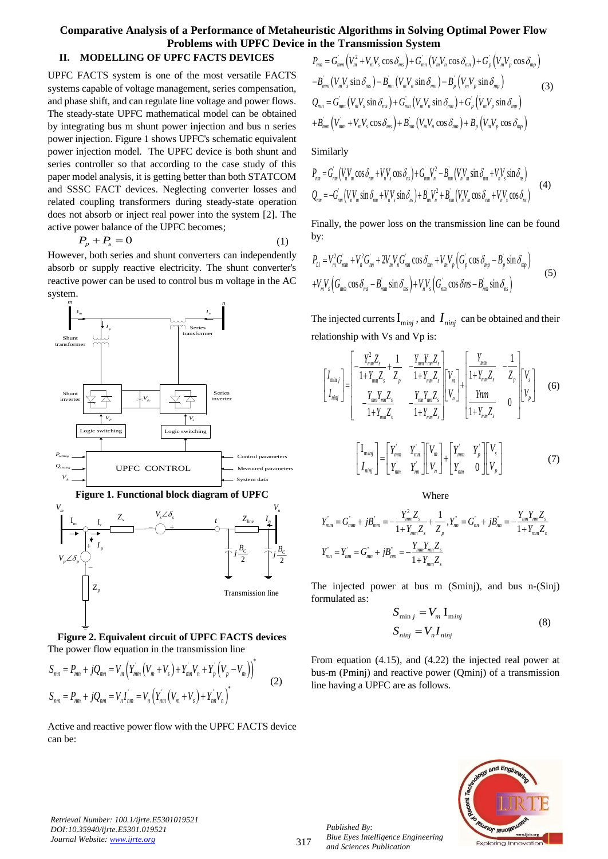# **Comparative Analysis of a Performance of Metaheuristic Algorithms in Solving Optimal Power Flow Problems with UPFC Device in the Transmission System**<br>  $P_{mn} = G_{mm}^{'}(V_m^2 + V_m V_s \cos \delta_{ms}) + G_{mn}^{'}(V_m V_n \cos \delta_{mn}) + G_p^{'}(V_m V_p \cos \delta_{mp})$

# **II. MODELLING OF UPFC FACTS DEVICES**

UPFC FACTS system is one of the most versatile FACTS systems capable of voltage management, series compensation, and phase shift, and can regulate line voltage and power flows. The steady-state UPFC mathematical model can be obtained by integrating bus m shunt power injection and bus n series power injection. Figure 1 shows UPFC's schematic equivalent power injection model. The UPFC device is both shunt and series controller so that according to the case study of this paper model analysis, it is getting better than both STATCOM and SSSC FACT devices. Neglecting converter losses and related coupling transformers during steady-state operation does not absorb or inject real power into the system [2]. The active power balance of the UPFC becomes;

$$
P_p + P_s = 0 \tag{1}
$$

However, both series and shunt converters can independently absorb or supply reactive electricity. The shunt converter's reactive power can be used to control bus m voltage in the AC system.





The power flow equation in the transmission line  
\n
$$
S_{mn} = P_{mn} + jQ_{mn} = V_m \left( Y_{mm}^{'} \left( V_m + V_s \right) + Y_{mn}^{'} V_n + Y_p^{'} \left( V_p - V_m \right) \right)^*
$$
\n
$$
S_{nm} = P_{nm} + jQ_{nm} = V_n I_{nm}^{'} = V_n \left( Y_{nm}^{'} \left( V_m + V_s \right) + Y_{nn}^{'} V_n \right)^*
$$
\n(2)

Active and reactive power flow with the UPFC FACTS device can be:

 ' ' ' ' ' ' ' ' ' ' sin sin sin sin sin sin cos cos cos *mn mm m m s ms mn m n mn p m p mp mm m s ms mn m n mn p m p mp mn mm m s ms mn m n mn p m p mp mm mm m s ms mn m n mn p m p mp B V V B V V B V V Q G V V G V V G V V B V V V B V V B V V* (3)

Similarly

Similarly  
\n
$$
P_{nm} = G_{nm}^{'}(V_n V_m \cos \delta_{mn} + V_n V_s \cos \delta_{ns}) + G_{nm}^{'} V_n^2 - B_{nm}^{'}(V_n V_m \sin \delta_{mn} + V_n V_s \sin \delta_{ns})
$$
\n
$$
Q_{nm} = -G_{nm}^{'}(V_n V_m \sin \delta_{nm} + V_n V_s \sin \delta_{ns}) + B_m V_n^2 + B_{nm}^{'}(V_n V_m \cos \delta_{nm} + V_n V_s \cos \delta_{ns})
$$
\n(4)

Finally, the power loss on the transmission line can be found by:

$$
\mathbf{b}_{12} = V_m^2 G_{mm}^{\dagger} + V_n^2 G_{nn}^{\dagger} + 2V_m V_n G_{mn}^{\dagger} \cos \delta_{mn} + V_m V_p \left( G_p^{\dagger} \cos \delta_{mp} - B_p^{\dagger} \sin \delta_{mp} \right)
$$
  
+
$$
V_m V_s \left( G_{mm}^{\dagger} \cos \delta_{ms} - B_{mm}^{\dagger} \sin \delta_{ms} \right) + V_n V_s \left( G_{mm}^{\dagger} \cos \delta ns - B_{nm}^{\dagger} \sin \delta_{ns} \right)
$$
(5)

The injected currents  $I_{m i n j}$ , and  $I_{n i n j}$  can be obtained and their

relationship with Vs and Vp is:  
\n
$$
\begin{bmatrix}\nI_{min} \\
I_{min}\n\end{bmatrix} = \begin{bmatrix}\n\frac{Y_{mm}^2 Z_s}{1 + Y_{mm} Z_s} + \frac{1}{Z_p} & -\frac{Y_{mm} Y_{mm} Z_s}{1 + Y_{mm} Z_s} \\
\frac{Y_{mm} Z_s}{1 + Y_{mm} Z_s} & -\frac{Y_{mm} Y_{mm} Z_s}{1 + Y_{mm} Z_s}\n\end{bmatrix} \begin{bmatrix}\nV_m \\
V_n\n\end{bmatrix} + \begin{bmatrix}\n\frac{Y_{mm}}{1 + Y_{mm} Z_s} & -\frac{1}{Z_p} \\
\frac{Y_{mm}}{1 + Y_{mm} Z_s} & 0\n\end{bmatrix} \begin{bmatrix}\nV_s \\
V_p\n\end{bmatrix}
$$
\n(6)

$$
\begin{bmatrix} I_{\text{minj}} \\ I_{\text{minj}} \end{bmatrix} = \begin{bmatrix} Y_{\text{max}} & Y_{\text{max}} \\ Y_{\text{max}} & Y_{\text{max}} \end{bmatrix} \begin{bmatrix} V_{\text{max}} \\ V_{\text{max}} \end{bmatrix} + \begin{bmatrix} Y_{\text{max}} & Y_{\text{p}} \\ Y_{\text{max}} & 0 \end{bmatrix} \begin{bmatrix} V_{s} \\ V_{\text{p}} \end{bmatrix}
$$
(7)

Where

$$
\sum_{V_n}
$$
\n
$$
Y_{nm} = G_{mm} + jB_{mm} = -\frac{Y_{mm}^2 Z_s}{1 + Y_{mm} Z_s} + \frac{1}{Z_p}, Y_m = G_{nn} + jB_{nn} = -\frac{Y_{mn}Y_{mn}Z_s}{1 + Y_{mm} Z_s}
$$
\n
$$
Y_{mn} = Y_{nm} = G_{mn} + jB_{nm} = -\frac{Y_{mm}Y_{mn}Z_s}{1 + Y_{mm} Z_s}
$$

The injected power at bus m (Sminj), and bus n-(Sinj) formulated as:

$$
S_{\min j} = V_m I_{\min j}
$$
  
\n
$$
S_{\min j} = V_n I_{\min j}
$$
\n(8)

From equation (4.15), and (4.22) the injected real power at bus-m (Pminj) and reactive power (Qminj) of a transmission line having a UPFC are as follows.



*Retrieval Number: 100.1/ijrte.E5301019521 DOI:10.35940/ijrte.E5301.019521 Journal Website: www.ijrte.org*

317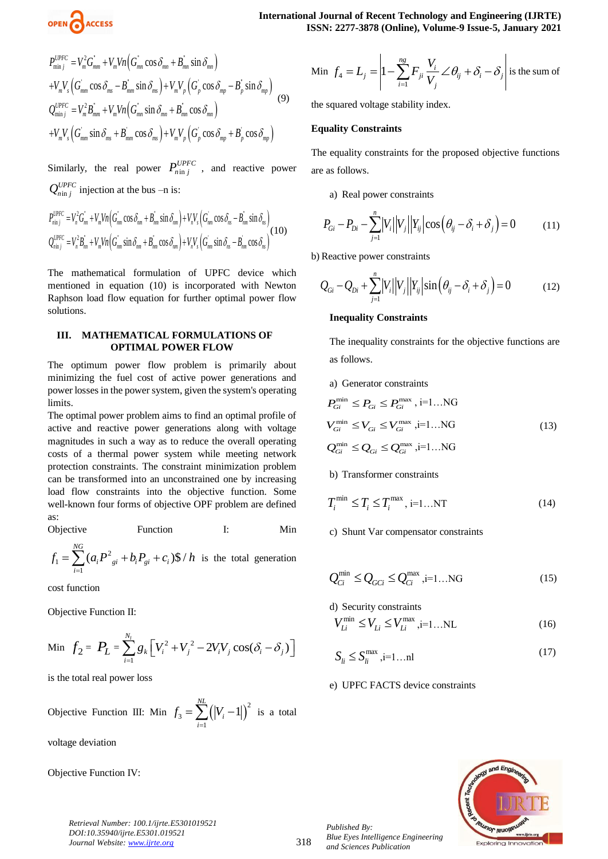

$$
P_{\min j}^{UPFC} = V_m^2 G_{mm}^* + V_m V n \Big( G_{mn}^* \cos \delta_{mn} + B_{mn}^* \sin \delta_{mn} \Big)
$$
  
+ 
$$
V_m V_s \Big( G_{mm}^* \cos \delta_{ms} - B_{mm}^* \sin \delta_{ms} \Big) + V_m V_p \Big( G_p^* \cos \delta_{mp} - B_p^* \sin \delta_{mp} \Big)
$$
  

$$
Q_{\min j}^{UPFC} = V_m^2 B_{mm}^* + V_m V n \Big( G_{mn}^* \sin \delta_{mn} + B_{mn}^* \cos \delta_{mn} \Big)
$$
  
+ 
$$
V_m V_s \Big( G_{mm}^* \sin \delta_{ms} + B_{mm}^* \cos \delta_{ms} \Big) + V_m V_p \Big( G_p^* \cos \delta_{mp} + B_p^* \cos \delta_{mp} \Big)
$$
 (9)

Similarly, the real power  $P_{n \text{in } j}^{UPFC}$ , and reactive power

$$
Q_{n\text{in }j}^{UPFC}
$$
 injection at the bus –n is:  
\n
$$
P_{n\text{in }j}^{UPFC} = V_n^2 G_m^* + V_m V_n \Big( G_m^* \cos \delta_{nm} + B_{nm}^* \sin \delta_{nm} \Big) + V_n V_s \Big( G_m^* \cos \delta_{ns} - B_{nm}^* \sin \delta_{ns} \Big)
$$
\n
$$
Q_{n\text{in }j}^{UPFC} = V_n^2 B_m^* + V_m V_n \Big( G_m^* \sin \delta_{nm} + B_m^* \cos \delta_{nm} \Big) + V_n V_s \Big( G_{nm}^* \sin \delta_{ns} - B_m^* \cos \delta_{ns} \Big) \Big( 10 \Big)
$$

The mathematical formulation of UPFC device which mentioned in equation (10) is incorporated with Newton Raphson load flow equation for further optimal power flow solutions.

#### **III. MATHEMATICAL FORMULATIONS OF OPTIMAL POWER FLOW**

The optimum power flow problem is primarily about minimizing the fuel cost of active power generations and power losses in the power system, given the system's operating limits.

The optimal power problem aims to find an optimal profile of active and reactive power generations along with voltage magnitudes in such a way as to reduce the overall operating costs of a thermal power system while meeting network protection constraints. The constraint minimization problem can be transformed into an unconstrained one by increasing load flow constraints into the objective function. Some well-known four forms of objective OPF problem are defined as:

Objective Function I: Min

2 1 1  $(a_i P^2_{\sigma i} + b_i P_{\sigma i} + c_i)$ \$/ *NG*  $f_1 = \sum_{i=1}^{NG} (a_i P_{gi}^2 + b_i P_{gi} + c_i)$ \$ / *h* is the total generation

cost function

Objective Function II:

Min 
$$
f_2 = P_L = \sum_{i=1}^{N_l} g_k \left[ V_i^2 + V_j^2 - 2V_i V_j \cos(\delta_i - \delta_j) \right]
$$

is the total real power loss

$$
\text{Objective Function III: Min } f_3 = \sum_{i=1}^{NL} \left( |V_i - 1| \right)^2 \text{ is a total}
$$

voltage deviation

Objective Function IV:

Min 
$$
f_4 = L_j = \left| 1 - \sum_{i=1}^{ng} F_{ji} \frac{V_i}{V_j} \angle \theta_{ij} + \delta_i - \delta_j \right|
$$
 is the sum of

the squared voltage stability index.

### **Equality Constraints**

The equality constraints for the proposed objective functions are as follows.

a) Real power constraints

$$
P_{Gi} - P_{Di} - \sum_{j=1}^{n} |V_i||V_j||Y_{ij}|\cos(\theta_{ij} - \delta_i + \delta_j) = 0
$$
 (11)

b) Reactive power constraints

$$
Q_{Gi} - Q_{Di} + \sum_{j=1}^{n} |V_i||V_j||Y_{ij}|\sin(\theta_{ij} - \delta_i + \delta_j) = 0
$$
 (12)

# **Inequality Constraints**

The inequality constraints for the objective functions are as follows.

#### a) Generator constraints

$$
P_{Gi}^{\min} \le P_{Gi} \le P_{Gi}^{\max}, i=1...NG
$$
  
\n
$$
V_{Gi}^{\min} \le V_{Gi} \le V_{Gi}^{\max}, i=1...NG
$$
  
\n
$$
Q_{Gi}^{\min} \le Q_{Gi} \le Q_{Gi}^{\max}, i=1...NG
$$
\n(13)

#### b) Transformer constraints

$$
T_i^{\min} \le T_i \le T_i^{\max}, i=1...NT
$$
\n(14)

c) Shunt Var compensator constraints

$$
Q_{Ci}^{\min} \le Q_{GCi} \le Q_{Ci}^{\max}, i=1...NG
$$
 (15)

d) Security constraints

$$
V_{Li}^{\min} \le V_{Li} \le V_{Li}^{\max}, \quad \text{i=1...NL} \tag{16}
$$

$$
S_{ii} \le S_{ii}^{\max}, i=1...n!
$$
 (17)

#### e) UPFC FACTS device constraints



*Retrieval Number: 100.1/ijrte.E5301019521 DOI:10.35940/ijrte.E5301.019521 Journal Website: www.ijrte.org*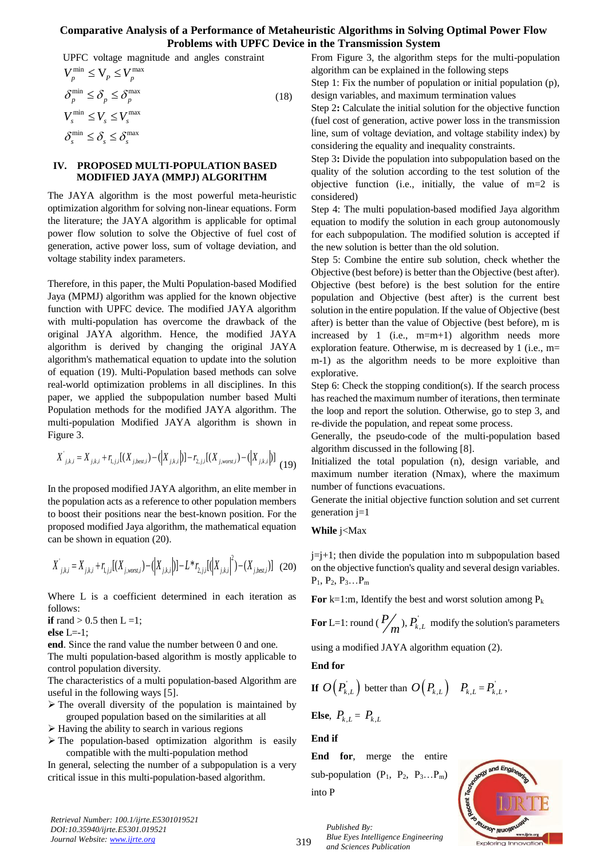UPFC voltage magnitude and angles constraint

$$
V_p^{\min} \le V_p \le V_p^{\max}
$$
  
\n
$$
\delta_p^{\min} \le \delta_p \le \delta_p^{\max}
$$
  
\n
$$
V_s^{\min} \le V_s \le V_s^{\max}
$$
  
\n
$$
\delta_s^{\min} \le \delta_s \le \delta_s^{\max}
$$
 (18)

#### **IV. PROPOSED MULTI-POPULATION BASED MODIFIED JAYA (MMPJ) ALGORITHM**

The JAYA algorithm is the most powerful meta-heuristic optimization algorithm for solving non-linear equations. Form the literature; the JAYA algorithm is applicable for optimal power flow solution to solve the Objective of fuel cost of generation, active power loss, sum of voltage deviation, and voltage stability index parameters.

Therefore, in this paper, the Multi Population-based Modified Jaya (MPMJ) algorithm was applied for the known objective function with UPFC device. The modified JAYA algorithm with multi-population has overcome the drawback of the original JAYA algorithm. Hence, the modified JAYA algorithm is derived by changing the original JAYA algorithm's mathematical equation to update into the solution of equation (19). Multi-Population based methods can solve real-world optimization problems in all disciplines. In this paper, we applied the subpopulation number based Multi Population methods for the modified JAYA algorithm. The multi-population Modified JAYA algorithm is shown in Figure 3.

gure 3.  
\n
$$
X^{'}_{j,k,i} = X_{j,k,i} + r_{i,j,i}[(X_{j,best,i}) - (\vert X_{j,k,i} \vert)] - r_{2,j,i}[(X_{j,worst,i}) - (\vert X_{j,k,i} \vert)] \tag{19}
$$

In the proposed modified JAYA algorithm, an elite member in the population acts as a reference to other population members to boost their positions near the best-known position. For the proposed modified Jaya algorithm, the mathematical equation can be shown in equation (20).

can be shown in equation (20).  
\n
$$
X'_{j,k,i} = X_{j,k,i} + r_{i,j,i}[(X_{j,worst,i}) - (\big|X_{j,k,i}\big|)] - L * r_{2,j,i}[(\big|X_{j,k,i}\big|^2) - (X_{j,best,i})]
$$
 (20)

Where L is a coefficient determined in each iteration as follows:

**if** rand  $> 0.5$  then  $L = 1$ ;

**else** L=-1;

**end**. Since the rand value the number between 0 and one.

The multi population-based algorithm is mostly applicable to control population diversity.

The characteristics of a multi population-based Algorithm are useful in the following ways [5].

- $\triangleright$  The overall diversity of the population is maintained by grouped population based on the similarities at all
- $\triangleright$  Having the ability to search in various regions
- $\triangleright$  The population-based optimization algorithm is easily compatible with the multi-population method

In general, selecting the number of a subpopulation is a very critical issue in this multi-population-based algorithm.

*Retrieval Number: 100.1/ijrte.E5301019521 DOI:10.35940/ijrte.E5301.019521 Journal Website: www.ijrte.org*

From Figure 3, the algorithm steps for the multi-population algorithm can be explained in the following steps

Step 1: Fix the number of population or initial population (p), design variables, and maximum termination values

Step 2**:** Calculate the initial solution for the objective function (fuel cost of generation, active power loss in the transmission line, sum of voltage deviation, and voltage stability index) by considering the equality and inequality constraints.

Step 3**:** Divide the population into subpopulation based on the quality of the solution according to the test solution of the objective function (i.e., initially, the value of m=2 is considered)

Step 4: The multi population-based modified Jaya algorithm equation to modify the solution in each group autonomously for each subpopulation. The modified solution is accepted if the new solution is better than the old solution.

Step 5: Combine the entire sub solution, check whether the Objective (best before) is better than the Objective (best after). Objective (best before) is the best solution for the entire population and Objective (best after) is the current best solution in the entire population. If the value of Objective (best after) is better than the value of Objective (best before), m is increased by 1 (i.e.,  $m=m+1$ ) algorithm needs more exploration feature. Otherwise, m is decreased by 1 (i.e., m= m-1) as the algorithm needs to be more exploitive than explorative.

Step 6: Check the stopping condition(s). If the search process has reached the maximum number of iterations, then terminate the loop and report the solution. Otherwise, go to step 3, and re-divide the population, and repeat some process.

Generally, the pseudo-code of the multi-population based algorithm discussed in the following [8].

Initialized the total population (n), design variable, and maximum number iteration (Nmax), where the maximum number of functions evacuations.

Generate the initial objective function solution and set current generation j=1

**While** j<Max

 $j=j+1$ ; then divide the population into m subpopulation based on the objective function's quality and several design variables.  $P_1, P_2, P_3...P_m$ 

For  $k=1$ :m, Identify the best and worst solution among  $P_k$ 

**For** L=1: round ( $\overline{P}$ )  $\binom{m}{m}$ ,  $P_{k,L}$  modify the solution's parameters

using a modified JAYA algorithm equation (2).

**End for** 

**If** 
$$
O(P_{k,L})
$$
 better than  $O(P_{k,L})$   $P_{k,L} = P_{k,L}$ ,

**Else**,  $P_{k,L} = P_{k,L}$ 

**End if** 

**End for**, merge the entire sub-population  $(P_1, P_2, P_3...P_m)$ into P

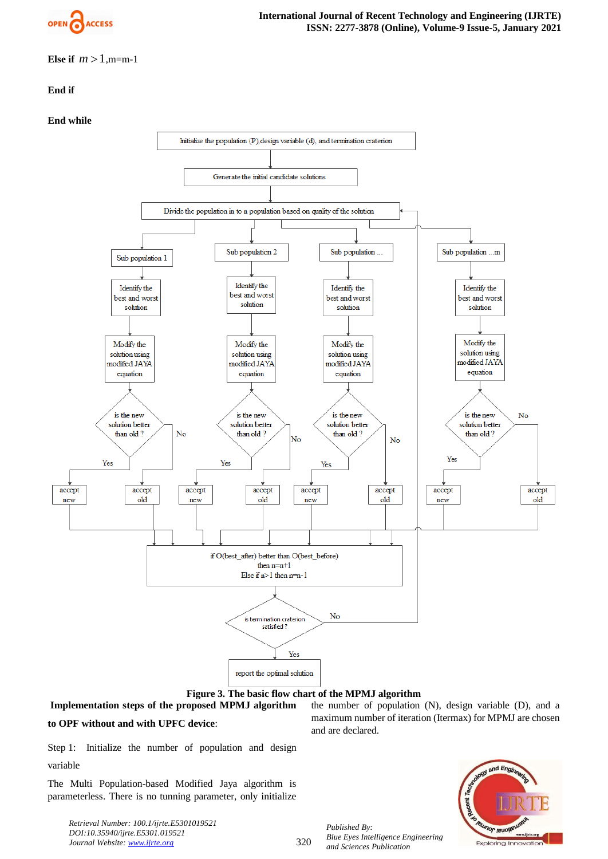

**Else if**  $m > 1, m = m-1$ 

# **End if**

# **End while**





**Implementation steps of the proposed MPMJ algorithm to OPF without and with UPFC device**:

the number of population (N), design variable (D), and a maximum number of iteration (Itermax) for MPMJ are chosen and are declared.

Step 1: Initialize the number of population and design variable

The Multi Population-based Modified Jaya algorithm is parameterless. There is no tunning parameter, only initialize

*Retrieval Number: 100.1/ijrte.E5301019521 DOI:10.35940/ijrte.E5301.019521 Journal Website: www.ijrte.org*

*Published By: Blue Eyes Intelligence Engineering and Sciences Publication* 



320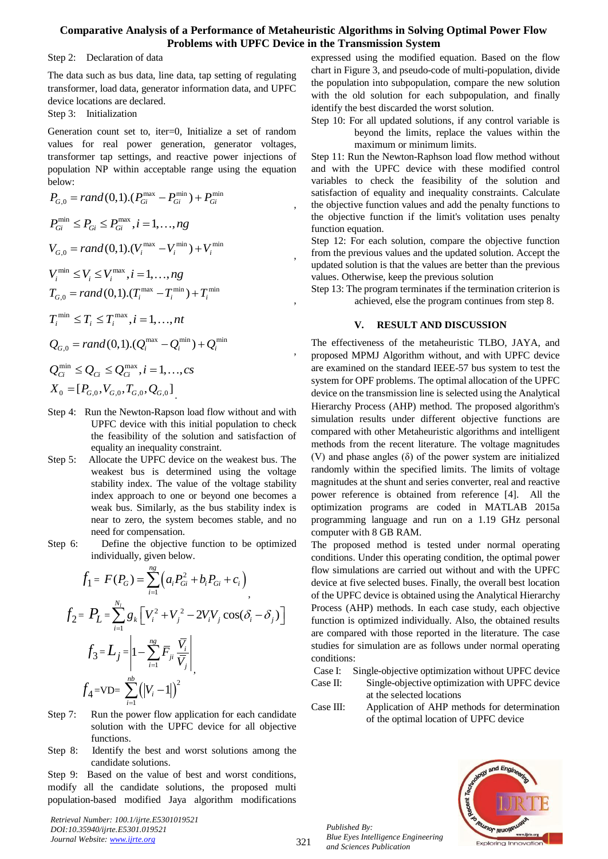,

,

,

,

Step 2: Declaration of data

The data such as bus data, line data, tap setting of regulating transformer, load data, generator information data, and UPFC device locations are declared.

Step 3: Initialization

Generation count set to, iter=0, Initialize a set of random values for real power generation, generator voltages, transformer tap settings, and reactive power injections of population NP within acceptable range using the equation below:  $max$  –  $P^{min}$ ) +  $P^{min}$ 

below:  
\n
$$
P_{G,0} = rand(0,1).(P_{Gi}^{max} - P_{Gi}^{min}) + P_{Gi}^{min}
$$
\n
$$
P_{Gi}^{min} \leq P_{Gi} \leq P_{Gi}^{max}, i = 1, ..., ng
$$
\n
$$
V_{G,0} = rand(0,1).(V_i^{max} - V_i^{min}) + V_i^{min}
$$
\n
$$
V_i^{min} \leq V_i \leq V_i^{max}, i = 1, ..., ng
$$
\n
$$
T_{G,0} = rand(0,1).(T_i^{max} - T_i^{min}) + T_i^{min}
$$
\n
$$
T_i^{min} \leq T_i \leq T_i^{max}, i = 1, ..., nt
$$
\n
$$
Q_{G,0} = rand(0,1).(Q_i^{max} - Q_i^{min}) + Q_i^{min}
$$
\n
$$
Q_{Ci}^{min} \leq Q_{Ci} \leq Q_{Ci}^{max}, i = 1, ..., cs
$$
\n
$$
X_0 = [P_{G,0}, V_{G,0}, T_{G,0}, Q_{G,0}]
$$

- Step 4: Run the Newton-Rapson load flow without and with UPFC device with this initial population to check the feasibility of the solution and satisfaction of equality an inequality constraint.
- Step 5: Allocate the UPFC device on the weakest bus. The weakest bus is determined using the voltage stability index. The value of the voltage stability index approach to one or beyond one becomes a weak bus. Similarly, as the bus stability index is near to zero, the system becomes stable, and no need for compensation.
- Step 6: Define the objective function to be optimized individually, given below.

$$
f_{1} = F(P_{G}) = \sum_{i=1}^{n_{g}} (a_{i}P_{Gi}^{2} + b_{i}P_{Gi} + c_{i})
$$
  
\n
$$
f_{2} = P_{L} = \sum_{i=1}^{N_{i}} g_{k} \left[ V_{i}^{2} + V_{j}^{2} - 2V_{i}V_{j} \cos(\delta_{i} - \delta_{j}) \right]
$$
  
\n
$$
f_{3} = L_{j} = \left| 1 - \sum_{i=1}^{n_{g}} \overline{F}_{ji} \frac{\overline{V}_{i}}{\overline{V}_{j}} \right|_{1}
$$
  
\n
$$
f_{4} = V D = \sum_{i=1}^{n_{b}} (|V_{i} - 1|)^{2}
$$

- Step 7: Run the power flow application for each candidate solution with the UPFC device for all objective functions.
- Step 8: Identify the best and worst solutions among the candidate solutions.

Step 9: Based on the value of best and worst conditions, modify all the candidate solutions, the proposed multi population-based modified Jaya algorithm modifications

*Retrieval Number: 100.1/ijrte.E5301019521 DOI:10.35940/ijrte.E5301.019521 Journal Website: www.ijrte.org*

expressed using the modified equation. Based on the flow chart in Figure 3, and pseudo-code of multi-population, divide the population into subpopulation, compare the new solution with the old solution for each subpopulation, and finally identify the best discarded the worst solution.

Step 10: For all updated solutions, if any control variable is beyond the limits, replace the values within the maximum or minimum limits.

Step 11: Run the Newton-Raphson load flow method without and with the UPFC device with these modified control variables to check the feasibility of the solution and satisfaction of equality and inequality constraints. Calculate the objective function values and add the penalty functions to the objective function if the limit's volitation uses penalty function equation.

Step 12: For each solution, compare the objective function from the previous values and the updated solution. Accept the updated solution is that the values are better than the previous values. Otherwise, keep the previous solution

Step 13: The program terminates if the termination criterion is achieved, else the program continues from step 8.

#### **V. RESULT AND DISCUSSION**

The effectiveness of the metaheuristic TLBO, JAYA, and proposed MPMJ Algorithm without, and with UPFC device are examined on the standard IEEE-57 bus system to test the system for OPF problems. The optimal allocation of the UPFC device on the transmission line is selected using the Analytical Hierarchy Process (AHP) method. The proposed algorithm's simulation results under different objective functions are compared with other Metaheuristic algorithms and intelligent methods from the recent literature. The voltage magnitudes (V) and phase angles (δ) of the power system are initialized randomly within the specified limits. The limits of voltage magnitudes at the shunt and series converter, real and reactive power reference is obtained from reference [4]. All the optimization programs are coded in MATLAB 2015a programming language and run on a 1.19 GHz personal computer with 8 GB RAM.

The proposed method is tested under normal operating conditions. Under this operating condition, the optimal power flow simulations are carried out without and with the UPFC device at five selected buses. Finally, the overall best location of the UPFC device is obtained using the Analytical Hierarchy Process (AHP) methods. In each case study, each objective function is optimized individually. Also, the obtained results are compared with those reported in the literature. The case studies for simulation are as follows under normal operating conditions:

Case I: Single-objective optimization without UPFC device

Case II: Single-objective optimization with UPFC device at the selected locations

Case III: Application of AHP methods for determination of the optimal location of UPFC device

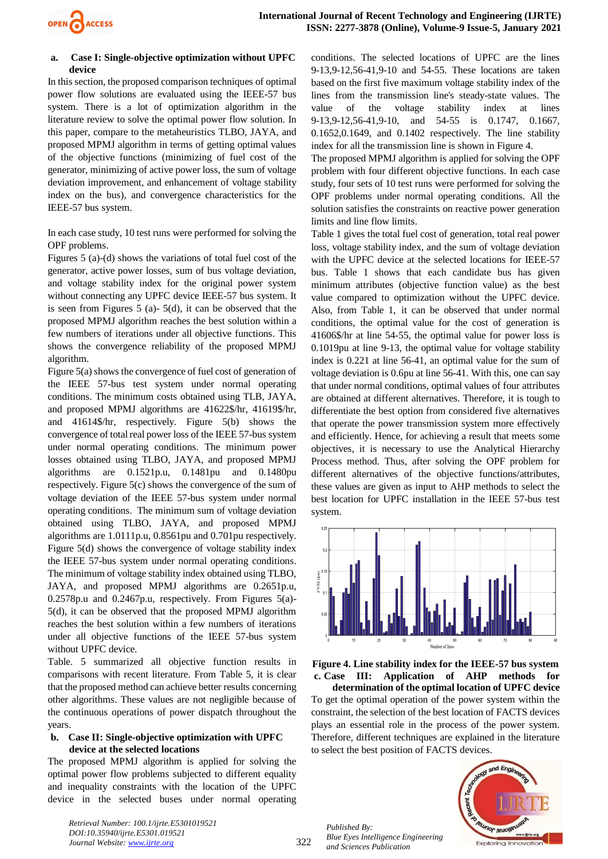

#### **a. Case I: Single-objective optimization without UPFC device**

In this section, the proposed comparison techniques of optimal power flow solutions are evaluated using the IEEE-57 bus system. There is a lot of optimization algorithm in the literature review to solve the optimal power flow solution. In this paper, compare to the metaheuristics TLBO, JAYA, and proposed MPMJ algorithm in terms of getting optimal values of the objective functions (minimizing of fuel cost of the generator, minimizing of active power loss, the sum of voltage deviation improvement, and enhancement of voltage stability index on the bus), and convergence characteristics for the IEEE-57 bus system.

In each case study, 10 test runs were performed for solving the OPF problems.

Figures 5 (a)-(d) shows the variations of total fuel cost of the generator, active power losses, sum of bus voltage deviation, and voltage stability index for the original power system without connecting any UPFC device IEEE-57 bus system. It is seen from Figures 5 (a)- 5(d), it can be observed that the proposed MPMJ algorithm reaches the best solution within a few numbers of iterations under all objective functions. This shows the convergence reliability of the proposed MPMJ algorithm.

Figure 5(a) shows the convergence of fuel cost of generation of the IEEE 57-bus test system under normal operating conditions. The minimum costs obtained using TLB, JAYA, and proposed MPMJ algorithms are 41622\$/hr, 41619\$/hr, and 41614\$/hr, respectively. Figure 5(b) shows the convergence of total real power loss of the IEEE 57-bus system under normal operating conditions. The minimum power losses obtained using TLBO, JAYA, and proposed MPMJ algorithms are 0.1521p.u, 0.1481pu and 0.1480pu respectively. Figure 5(c) shows the convergence of the sum of voltage deviation of the IEEE 57-bus system under normal operating conditions. The minimum sum of voltage deviation obtained using TLBO, JAYA, and proposed MPMJ algorithms are 1.0111p.u, 0.8561pu and 0.701pu respectively. Figure 5(d) shows the convergence of voltage stability index the IEEE 57-bus system under normal operating conditions. The minimum of voltage stability index obtained using TLBO, JAYA, and proposed MPMJ algorithms are 0.2651p.u, 0.2578p.u and 0.2467p.u, respectively. From Figures 5(a)- 5(d), it can be observed that the proposed MPMJ algorithm reaches the best solution within a few numbers of iterations under all objective functions of the IEEE 57-bus system without UPFC device.

Table. 5 summarized all objective function results in comparisons with recent literature. From Table 5, it is clear that the proposed method can achieve better results concerning other algorithms. These values are not negligible because of the continuous operations of power dispatch throughout the years.

#### **b. Case II: Single-objective optimization with UPFC device at the selected locations**

The proposed MPMJ algorithm is applied for solving the optimal power flow problems subjected to different equality and inequality constraints with the location of the UPFC device in the selected buses under normal operating

*Retrieval Number: 100.1/ijrte.E5301019521 DOI:10.35940/ijrte.E5301.019521 Journal Website: www.ijrte.org*

conditions. The selected locations of UPFC are the lines 9-13,9-12,56-41,9-10 and 54-55. These locations are taken based on the first five maximum voltage stability index of the lines from the transmission line's steady-state values. The value of the voltage stability index at lines 9-13,9-12,56-41,9-10, and 54-55 is 0.1747, 0.1667, 0.1652,0.1649, and 0.1402 respectively. The line stability index for all the transmission line is shown in Figure 4.

The proposed MPMJ algorithm is applied for solving the OPF problem with four different objective functions. In each case study, four sets of 10 test runs were performed for solving the OPF problems under normal operating conditions. All the solution satisfies the constraints on reactive power generation limits and line flow limits.

Table 1 gives the total fuel cost of generation, total real power loss, voltage stability index, and the sum of voltage deviation with the UPFC device at the selected locations for IEEE-57 bus. Table 1 shows that each candidate bus has given minimum attributes (objective function value) as the best value compared to optimization without the UPFC device. Also, from Table 1, it can be observed that under normal conditions, the optimal value for the cost of generation is 41606\$/hr at line 54-55, the optimal value for power loss is 0.1019pu at line 9-13, the optimal value for voltage stability index is 0.221 at line 56-41, an optimal value for the sum of voltage deviation is 0.6pu at line 56-41. With this, one can say that under normal conditions, optimal values of four attributes are obtained at different alternatives. Therefore, it is tough to differentiate the best option from considered five alternatives that operate the power transmission system more effectively and efficiently. Hence, for achieving a result that meets some objectives, it is necessary to use the Analytical Hierarchy Process method. Thus, after solving the OPF problem for different alternatives of the objective functions/attributes, these values are given as input to AHP methods to select the best location for UPFC installation in the IEEE 57-bus test system.



**Figure 4. Line stability index for the IEEE-57 bus system c. Case III: Application of AHP methods for** 

**determination of the optimal location of UPFC device** To get the optimal operation of the power system within the constraint, the selection of the best location of FACTS devices plays an essential role in the process of the power system. Therefore, different techniques are explained in the literature to select the best position of FACTS devices.

*Published By: Blue Eyes Intelligence Engineering and Sciences Publication* 



322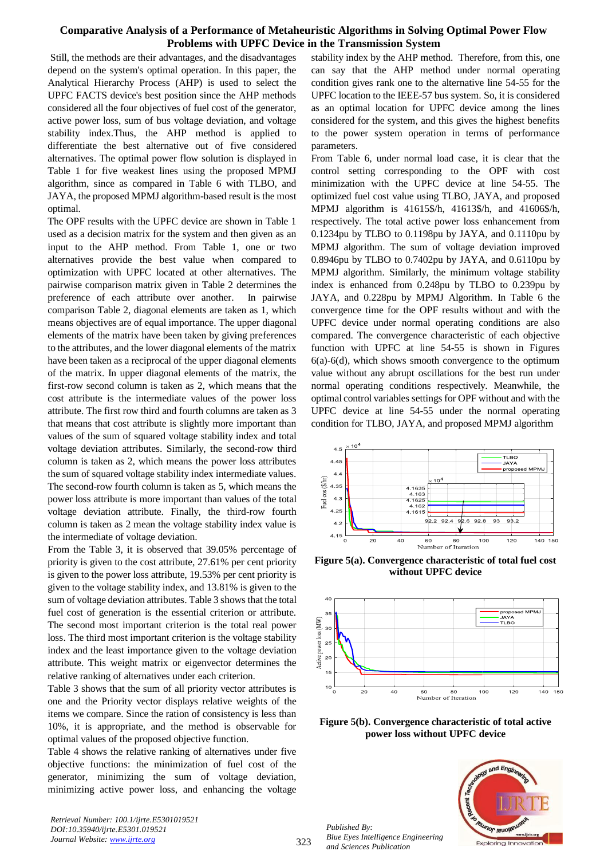Still, the methods are their advantages, and the disadvantages depend on the system's optimal operation. In this paper, the Analytical Hierarchy Process (AHP) is used to select the UPFC FACTS device's best position since the AHP methods considered all the four objectives of fuel cost of the generator, active power loss, sum of bus voltage deviation, and voltage stability index.Thus, the AHP method is applied to differentiate the best alternative out of five considered alternatives. The optimal power flow solution is displayed in Table 1 for five weakest lines using the proposed MPMJ algorithm, since as compared in Table 6 with TLBO, and JAYA, the proposed MPMJ algorithm-based result is the most optimal.

The OPF results with the UPFC device are shown in Table 1 used as a decision matrix for the system and then given as an input to the AHP method. From Table 1, one or two alternatives provide the best value when compared to optimization with UPFC located at other alternatives. The pairwise comparison matrix given in Table 2 determines the preference of each attribute over another. In pairwise comparison Table 2, diagonal elements are taken as 1, which means objectives are of equal importance. The upper diagonal elements of the matrix have been taken by giving preferences to the attributes, and the lower diagonal elements of the matrix have been taken as a reciprocal of the upper diagonal elements of the matrix. In upper diagonal elements of the matrix, the first-row second column is taken as 2, which means that the cost attribute is the intermediate values of the power loss attribute. The first row third and fourth columns are taken as 3 that means that cost attribute is slightly more important than values of the sum of squared voltage stability index and total voltage deviation attributes. Similarly, the second-row third column is taken as 2, which means the power loss attributes the sum of squared voltage stability index intermediate values. The second-row fourth column is taken as 5, which means the power loss attribute is more important than values of the total voltage deviation attribute. Finally, the third-row fourth column is taken as 2 mean the voltage stability index value is the intermediate of voltage deviation.

From the Table 3, it is observed that 39.05% percentage of priority is given to the cost attribute, 27.61% per cent priority is given to the power loss attribute, 19.53% per cent priority is given to the voltage stability index, and 13.81% is given to the sum of voltage deviation attributes. Table 3 shows that the total fuel cost of generation is the essential criterion or attribute. The second most important criterion is the total real power loss. The third most important criterion is the voltage stability index and the least importance given to the voltage deviation attribute. This weight matrix or eigenvector determines the relative ranking of alternatives under each criterion.

Table 3 shows that the sum of all priority vector attributes is one and the Priority vector displays relative weights of the items we compare. Since the ration of consistency is less than 10%, it is appropriate, and the method is observable for optimal values of the proposed objective function.

Table 4 shows the relative ranking of alternatives under five objective functions: the minimization of fuel cost of the generator, minimizing the sum of voltage deviation, minimizing active power loss, and enhancing the voltage

*Retrieval Number: 100.1/ijrte.E5301019521 DOI:10.35940/ijrte.E5301.019521 Journal Website: www.ijrte.org*

stability index by the AHP method. Therefore, from this, one can say that the AHP method under normal operating condition gives rank one to the alternative line 54-55 for the UPFC location to the IEEE-57 bus system. So, it is considered as an optimal location for UPFC device among the lines considered for the system, and this gives the highest benefits to the power system operation in terms of performance parameters.

From Table 6, under normal load case, it is clear that the control setting corresponding to the OPF with cost minimization with the UPFC device at line 54-55. The optimized fuel cost value using TLBO, JAYA, and proposed MPMJ algorithm is 41615\$/h, 41613\$/h, and 41606\$/h, respectively. The total active power loss enhancement from 0.1234pu by TLBO to 0.1198pu by JAYA, and 0.1110pu by MPMJ algorithm. The sum of voltage deviation improved 0.8946pu by TLBO to 0.7402pu by JAYA, and 0.6110pu by MPMJ algorithm. Similarly, the minimum voltage stability index is enhanced from 0.248pu by TLBO to 0.239pu by JAYA, and 0.228pu by MPMJ Algorithm. In Table 6 the convergence time for the OPF results without and with the UPFC device under normal operating conditions are also compared. The convergence characteristic of each objective function with UPFC at line 54-55 is shown in Figures  $6(a)$ - $6(d)$ , which shows smooth convergence to the optimum value without any abrupt oscillations for the best run under normal operating conditions respectively. Meanwhile, the optimal control variables settings for OPF without and with the UPFC device at line 54-55 under the normal operating condition for TLBO, JAYA, and proposed MPMJ algorithm



**Figure 5(a). Convergence characteristic of total fuel cost without UPFC device**



**Figure 5(b). Convergence characteristic of total active power loss without UPFC device**

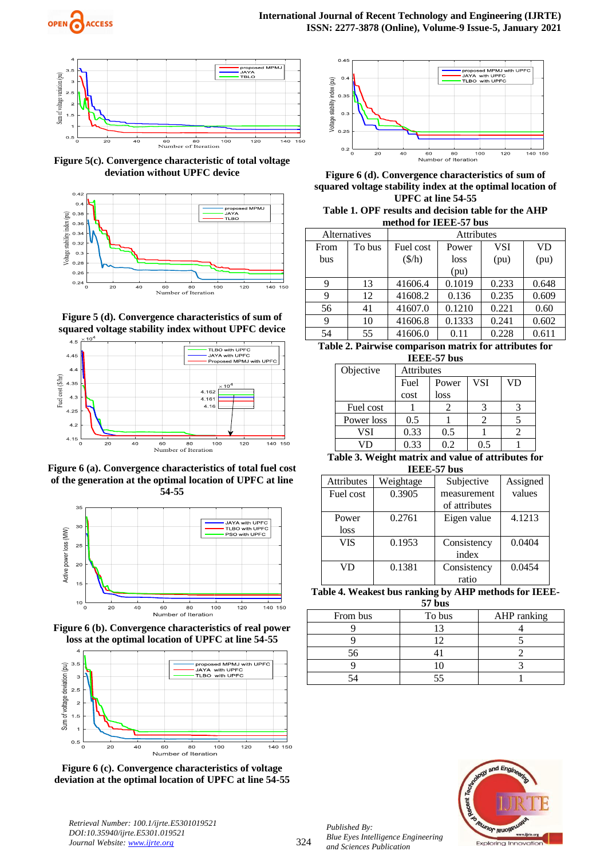



**Figure 5(c). Convergence characteristic of total voltage deviation without UPFC device**







**Figure 6 (a). Convergence characteristics of total fuel cost of the generation at the optimal location of UPFC at line 54-55**



**Figure 6 (b). Convergence characteristics of real power loss at the optimal location of UPFC at line 54-55**







**Figure 6 (d). Convergence characteristics of sum of squared voltage stability index at the optimal location of UPFC at line 54-55**

**Table 1. OPF results and decision table for the AHP method for IEEE-57 bus**

| Alternatives         |        | <b>Attributes</b>         |        |            |           |  |  |
|----------------------|--------|---------------------------|--------|------------|-----------|--|--|
| From                 | To bus | Fuel cost                 | Power  | <b>VSI</b> | <b>VD</b> |  |  |
| bus                  |        | $(\frac{\mathcal{S}}{h})$ | loss   | (pu)       | (pu)      |  |  |
|                      |        |                           | (pu)   |            |           |  |  |
| 9                    | 13     | 41606.4                   | 0.1019 | 0.233      | 0.648     |  |  |
| 9                    | 12     | 41608.2                   | 0.136  | 0.235      | 0.609     |  |  |
| 56                   | 41     | 41607.0                   | 0.1210 | 0.221      | 0.60      |  |  |
| 9                    | 10     | 41606.8                   | 0.1333 | 0.241      | 0.602     |  |  |
| 54                   | 55     | 41606.0                   | 0.11   | 0.228      | 0.611     |  |  |
| muanti turkiya muang |        |                           |        |            |           |  |  |

**Table 2. Pairwise comparison matrix for attributes for IEEE-57 bus**

| 11111 v 1 vuv |                   |       |            |    |  |  |  |  |
|---------------|-------------------|-------|------------|----|--|--|--|--|
| Objective     | <b>Attributes</b> |       |            |    |  |  |  |  |
|               | Fuel              | Power | <b>VSI</b> | VD |  |  |  |  |
|               | cost              | loss  |            |    |  |  |  |  |
| Fuel cost     |                   |       |            |    |  |  |  |  |
| Power loss    | 0.5               |       |            |    |  |  |  |  |
| VSI           | 0.33              | 0.5   |            |    |  |  |  |  |
|               | 0.33              |       | 0.5        |    |  |  |  |  |

**Table 3. Weight matrix and value of attributes for IEEE-57 bus**

| <b>Attributes</b> | Weightage | Subjective    | Assigned |
|-------------------|-----------|---------------|----------|
| Fuel cost         | 0.3905    | measurement   | values   |
|                   |           | of attributes |          |
| Power             | 0.2761    | Eigen value   | 4.1213   |
| loss              |           |               |          |
| <b>VIS</b>        | 0.1953    | Consistency   | 0.0404   |
|                   |           | index         |          |
| VD                | 0.1381    | Consistency   | 0.0454   |
|                   |           | ratio         |          |

**Table 4. Weakest bus ranking by AHP methods for IEEE-57 bus**

| $\mathbf{v}$ , vur |        |             |  |  |  |  |  |
|--------------------|--------|-------------|--|--|--|--|--|
| From bus           | To bus | AHP ranking |  |  |  |  |  |
|                    |        |             |  |  |  |  |  |
|                    |        |             |  |  |  |  |  |
|                    |        |             |  |  |  |  |  |
|                    |        |             |  |  |  |  |  |
|                    |        |             |  |  |  |  |  |



*Retrieval Number: 100.1/ijrte.E5301019521 DOI:10.35940/ijrte.E5301.019521 Journal Website: www.ijrte.org*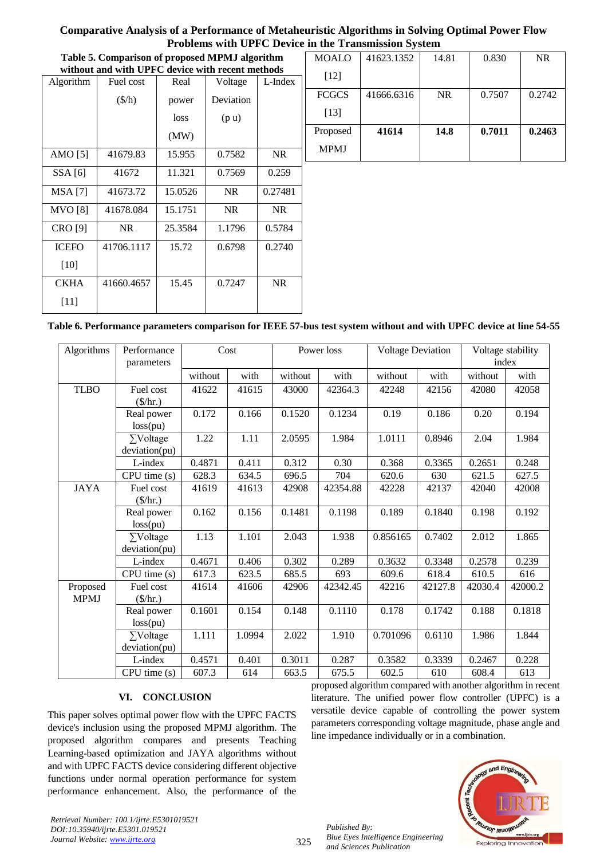| Table 5. Comparison of proposed MPMJ algorithm   |                        |         |                   | MOALO     | 41623.1352   | 14.81      | 0.830     | NR.    |        |
|--------------------------------------------------|------------------------|---------|-------------------|-----------|--------------|------------|-----------|--------|--------|
| without and with UPFC device with recent methods |                        |         |                   |           |              |            |           |        |        |
| Algorithm                                        | Fuel cost              | Real    | Voltage           | L-Index   | $[12]$       |            |           |        |        |
|                                                  | $(\frac{\sqrt{h}}{h})$ | power   | Deviation         |           | <b>FCGCS</b> | 41666.6316 | <b>NR</b> | 0.7507 | 0.2742 |
|                                                  |                        | loss    | (p <sub>u</sub> ) |           | $[13]$       |            |           |        |        |
|                                                  |                        | (MW)    |                   |           | Proposed     | 41614      | 14.8      | 0.7011 | 0.2463 |
|                                                  |                        |         |                   |           | <b>MPMJ</b>  |            |           |        |        |
| AMO $[5]$                                        | 41679.83               | 15.955  | 0.7582            | NR.       |              |            |           |        |        |
| SSA[6]                                           | 41672                  | 11.321  | 0.7569            | 0.259     |              |            |           |        |        |
| <b>MSA</b> [7]                                   | 41673.72               | 15.0526 | NR.               | 0.27481   |              |            |           |        |        |
| <b>MVO</b> [8]                                   | 41678.084              | 15.1751 | NR.               | NR.       |              |            |           |        |        |
| <b>CRO</b> [9]                                   | <b>NR</b>              | 25.3584 | 1.1796            | 0.5784    |              |            |           |        |        |
| <b>ICEFO</b>                                     | 41706.1117             | 15.72   | 0.6798            | 0.2740    |              |            |           |        |        |
| $[10]$                                           |                        |         |                   |           |              |            |           |        |        |
| <b>CKHA</b>                                      | 41660.4657             | 15.45   | 0.7247            | <b>NR</b> |              |            |           |        |        |

# **Table 6. Performance parameters comparison for IEEE 57-bus test system without and with UPFC device at line 54-55**

| Algorithms              | Performance<br>parameters                  | Cost    |        | Power loss |          | <b>Voltage Deviation</b> |         | Voltage stability<br>index |         |
|-------------------------|--------------------------------------------|---------|--------|------------|----------|--------------------------|---------|----------------------------|---------|
|                         |                                            | without | with   | without    | with     | without                  | with    | without                    | with    |
| <b>TLBO</b>             | Fuel cost<br>$(\frac{\mathcal{S}}{\hbar})$ | 41622   | 41615  | 43000      | 42364.3  | 42248                    | 42156   | 42080                      | 42058   |
|                         | Real power<br>loss(pu)                     | 0.172   | 0.166  | 0.1520     | 0.1234   | 0.19                     | 0.186   | 0.20                       | 0.194   |
|                         | $\Sigma$ Voltage<br>deviation(pu)          | 1.22    | 1.11   | 2.0595     | 1.984    | 1.0111                   | 0.8946  | 2.04                       | 1.984   |
|                         | L-index                                    | 0.4871  | 0.411  | 0.312      | 0.30     | 0.368                    | 0.3365  | 0.2651                     | 0.248   |
|                         | CPU time(s)                                | 628.3   | 634.5  | 696.5      | 704      | 620.6                    | 630     | 621.5                      | 627.5   |
| <b>JAYA</b>             | Fuel cost<br>$(\frac{\mathcal{S}}{\hbar})$ | 41619   | 41613  | 42908      | 42354.88 | 42228                    | 42137   | 42040                      | 42008   |
|                         | Real power<br>loss(pu)                     | 0.162   | 0.156  | 0.1481     | 0.1198   | 0.189                    | 0.1840  | 0.198                      | 0.192   |
|                         | $\Sigma$ Voltage<br>deviation(pu)          | 1.13    | 1.101  | 2.043      | 1.938    | 0.856165                 | 0.7402  | 2.012                      | 1.865   |
|                         | L-index                                    | 0.4671  | 0.406  | 0.302      | 0.289    | 0.3632                   | 0.3348  | 0.2578                     | 0.239   |
|                         | CPU time(s)                                | 617.3   | 623.5  | 685.5      | 693      | 609.6                    | 618.4   | 610.5                      | 616     |
| Proposed<br><b>MPMJ</b> | Fuel cost<br>$(\frac{\pi}{3})$             | 41614   | 41606  | 42906      | 42342.45 | 42216                    | 42127.8 | 42030.4                    | 42000.2 |
|                         | Real power<br>loss(pu)                     | 0.1601  | 0.154  | 0.148      | 0.1110   | 0.178                    | 0.1742  | 0.188                      | 0.1818  |
|                         | $\Sigma$ Voltage<br>deviation(pu)          | 1.111   | 1.0994 | 2.022      | 1.910    | 0.701096                 | 0.6110  | 1.986                      | 1.844   |
|                         | L-index                                    | 0.4571  | 0.401  | 0.3011     | 0.287    | 0.3582                   | 0.3339  | 0.2467                     | 0.228   |
|                         | CPU time (s)                               | 607.3   | 614    | 663.5      | 675.5    | 602.5                    | 610     | 608.4                      | 613     |

# **VI. CONCLUSION**

This paper solves optimal power flow with the UPFC FACTS device's inclusion using the proposed MPMJ algorithm. The proposed algorithm compares and presents Teaching Learning-based optimization and JAYA algorithms without and with UPFC FACTS device considering different objective functions under normal operation performance for system performance enhancement. Also, the performance of the

proposed algorithm compared with another algorithm in recent literature. The unified power flow controller (UPFC) is a versatile device capable of controlling the power system parameters corresponding voltage magnitude, phase angle and line impedance individually or in a combination.



*Retrieval Number: 100.1/ijrte.E5301019521 DOI:10.35940/ijrte.E5301.019521 Journal Website: www.ijrte.org*

[11]

325